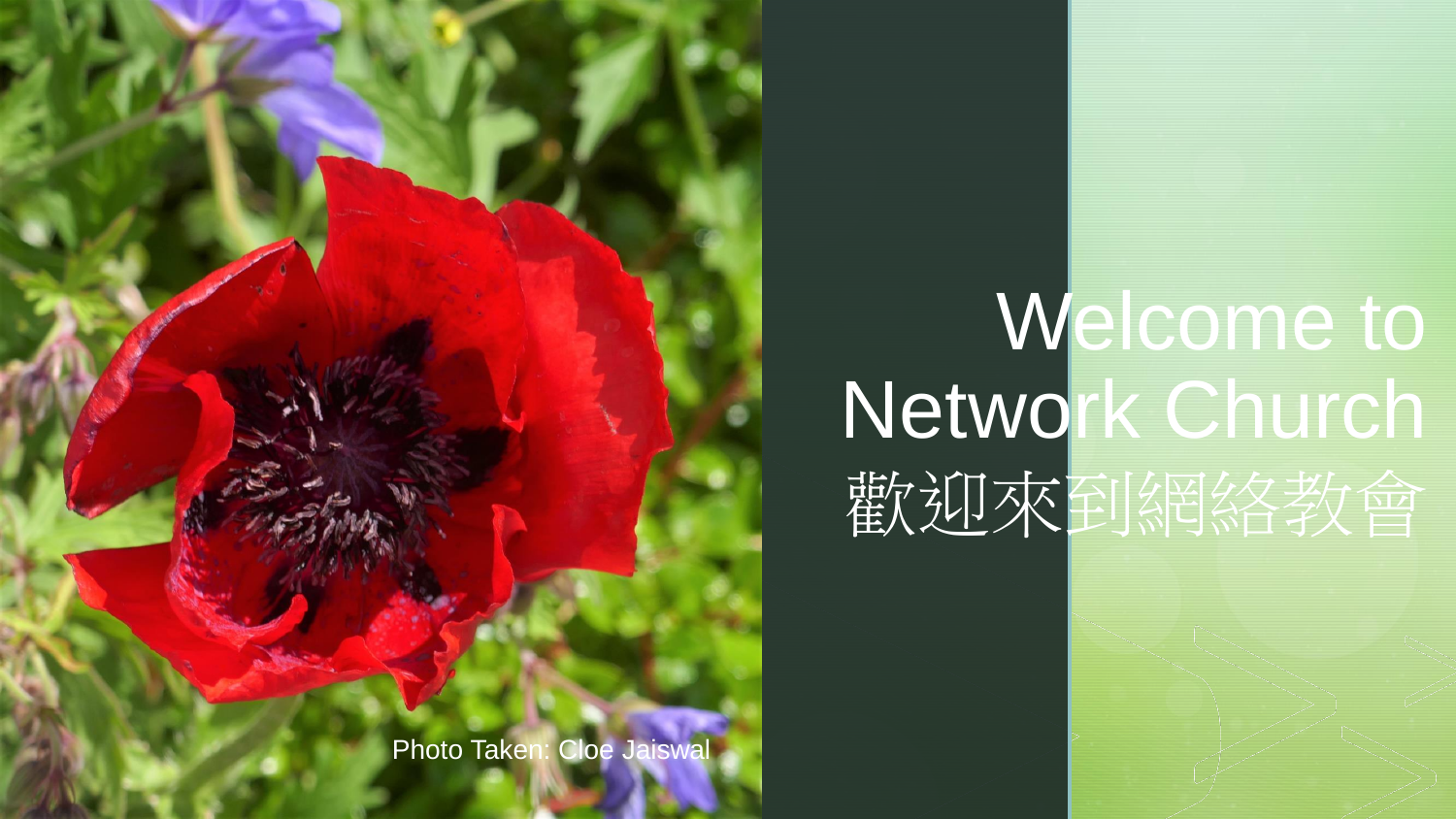

# **Welcome to** Network Church 歡迎來到網絡教會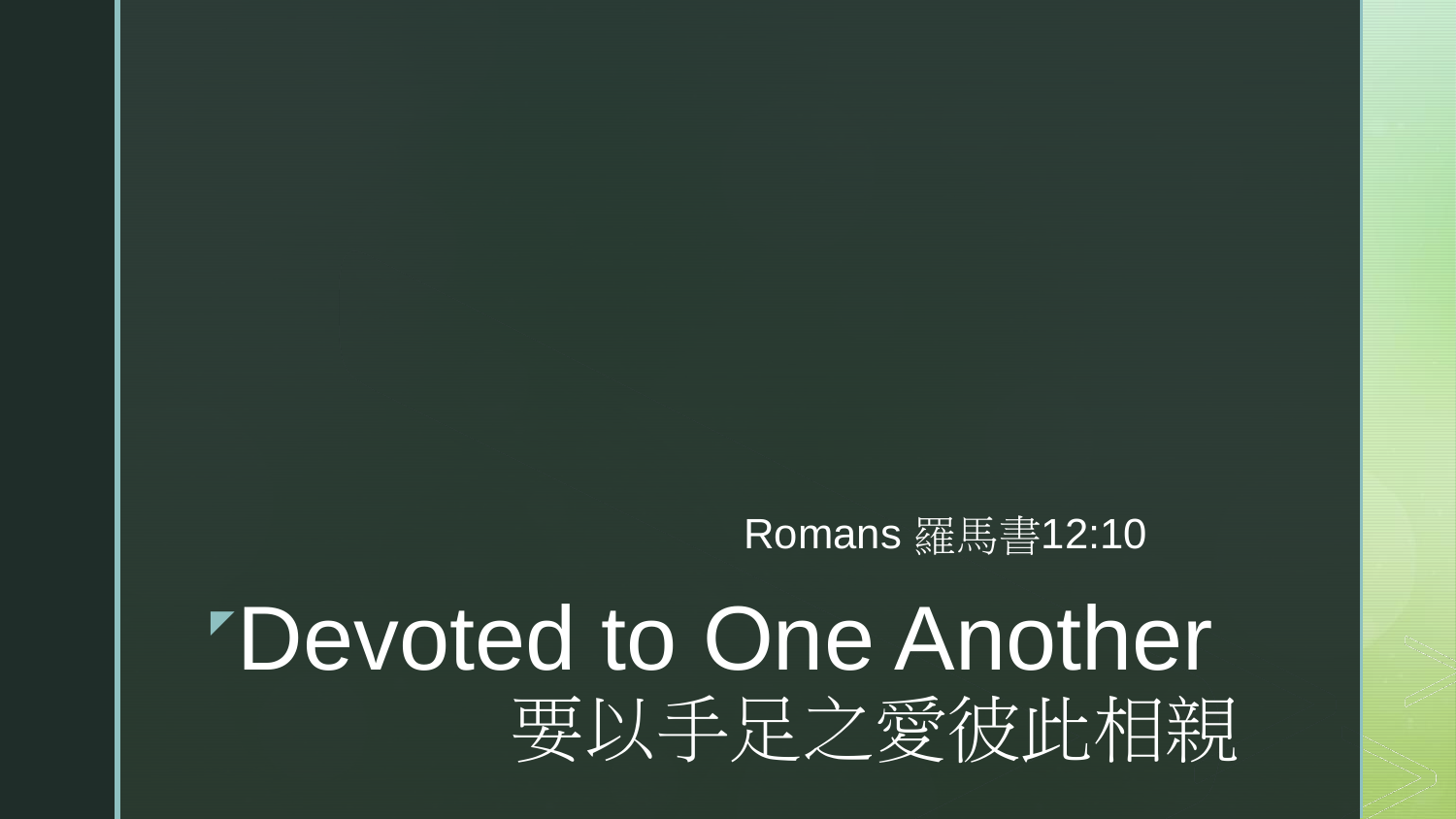#### Romans 羅馬書12:10

## "Devoted to One Another" 要以手足之愛彼此相親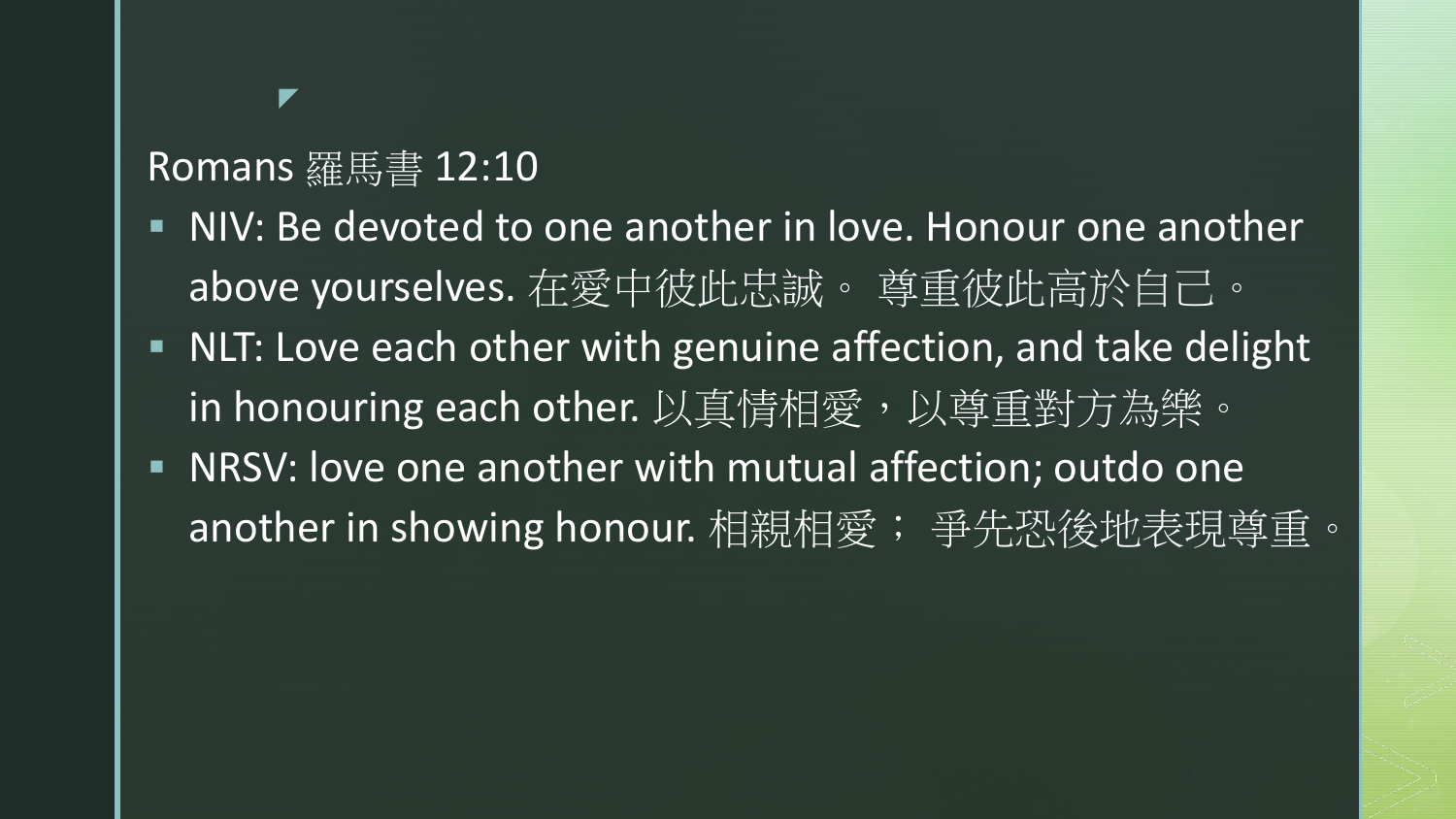#### Romans 羅馬書 12:10

- NIV: Be devoted to one another in love. Honour one another above yourselves. 在愛中彼此忠誠。 尊重彼此高於自己。
- NLT: Love each other with genuine affection, and take delight in honouring each other. 以真情相愛, 以尊重對方為樂。
- NRSV: love one another with mutual affection; outdo one another in showing honour. 相親相愛; 爭先恐後地表現尊重。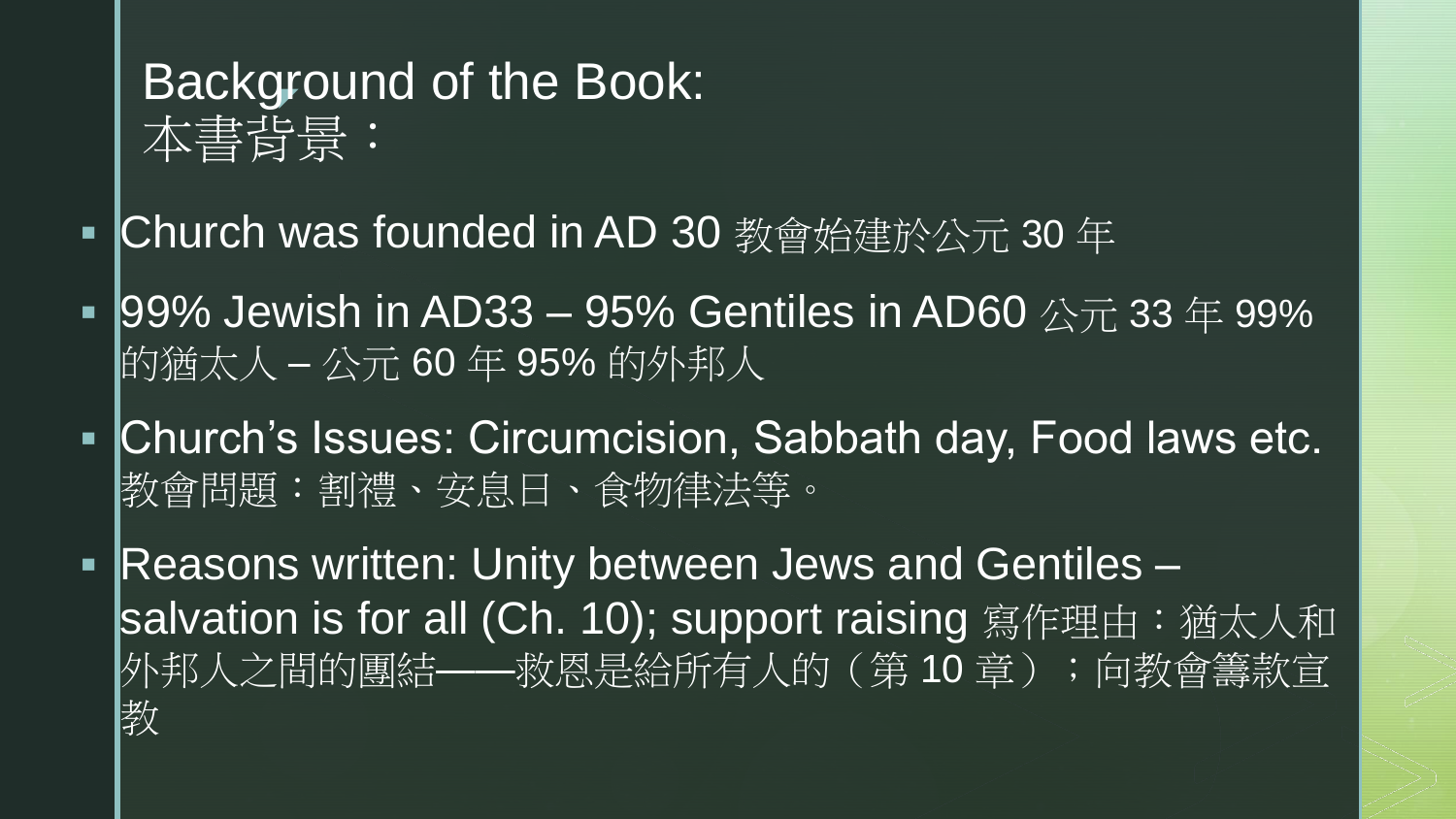### Background of the Book: 本書背景:

- Church was founded in AD 30 教會始建於公元 30 年
- 199% Jewish in AD33 95% Gentiles in AD60  $\triangle \overline{\pi}$  33  $\cong$  99% 的猶太人 – 公元 60 年 95% 的外邦人
- Church's Issues: Circumcision, Sabbath day, Food laws etc. 教會問題:割禮、安息日、食物律法等。
- Reasons written: Unity between Jews and Gentiles salvation is for all (Ch. 10); support raising 寫作理由:猶太人和 外邦人之間的團結——救恩是給所有人的(第10章);向教會籌款宣; 教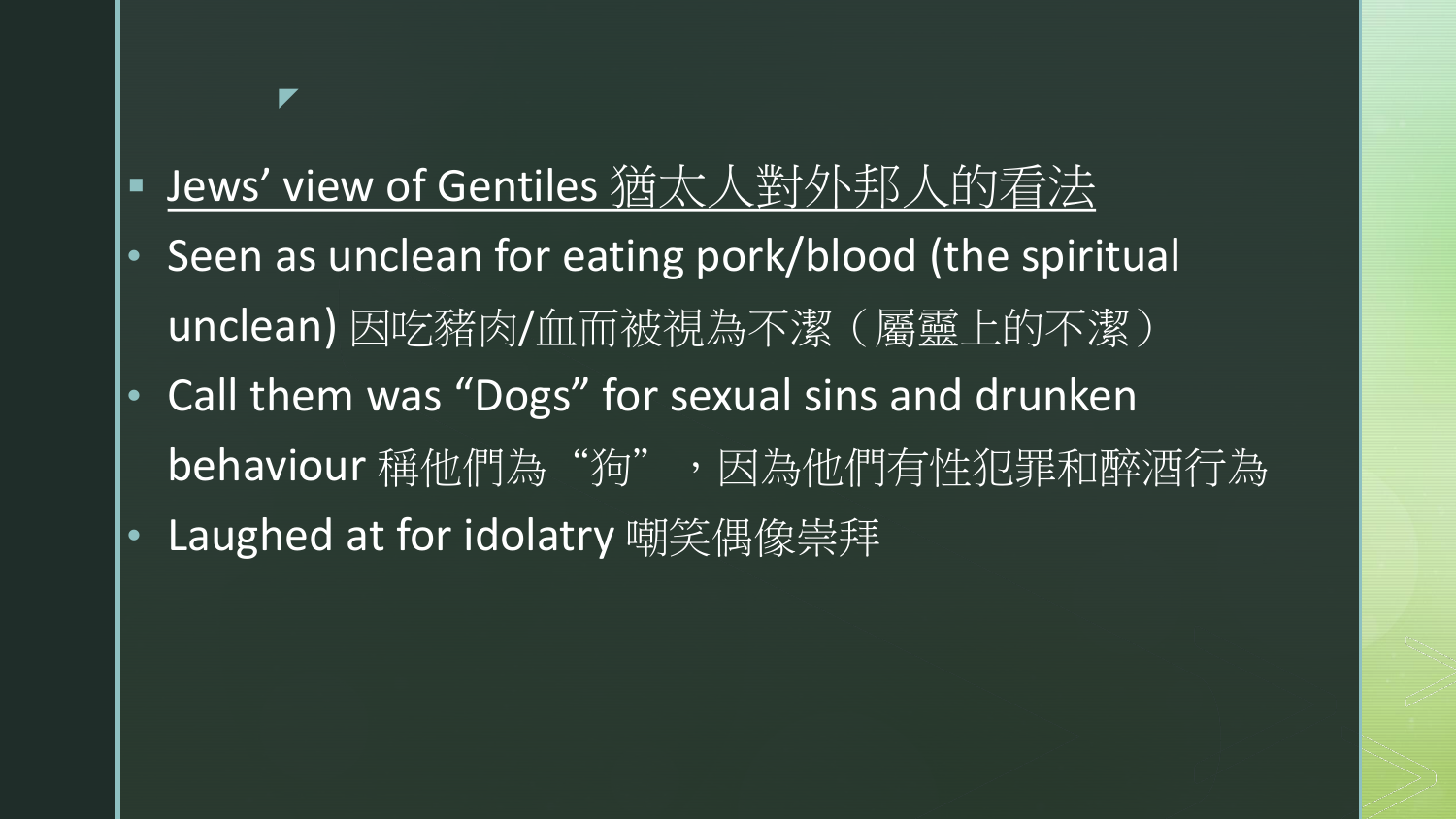## Jews' view of Gentiles 猶太人對外邦人的看法 • Seen as unclean for eating pork/blood (the spiritual unclean) 因吃豬肉/血而被視為不潔(屬靈上的不潔)

- Call them was "Dogs" for sexual sins and drunken behaviour 稱他們為"狗", 因為他們有性犯罪和醉酒行為
- Laughed at for idolatry 嘲笑偶像崇拜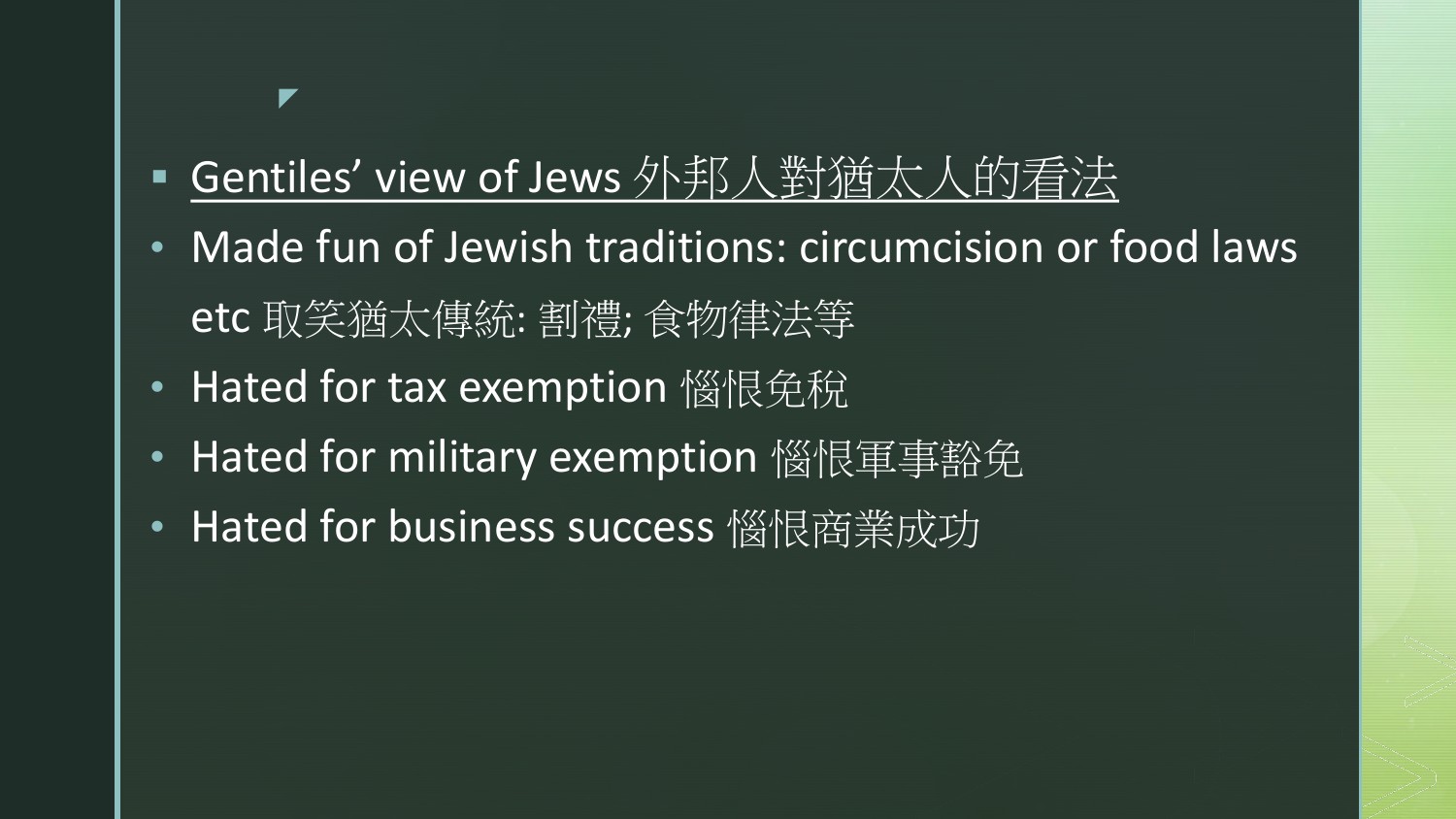#### Gentiles' view of Jews 外邦人對猶太人的看法

- Made fun of Jewish traditions: circumcision or food laws etc 取笑猶太傳統: 割禮; 食物律法等
- Hated for tax exemption 惱恨免稅

- Hated for military exemption 惱恨軍事豁免
- Hated for business success 惱恨商業成功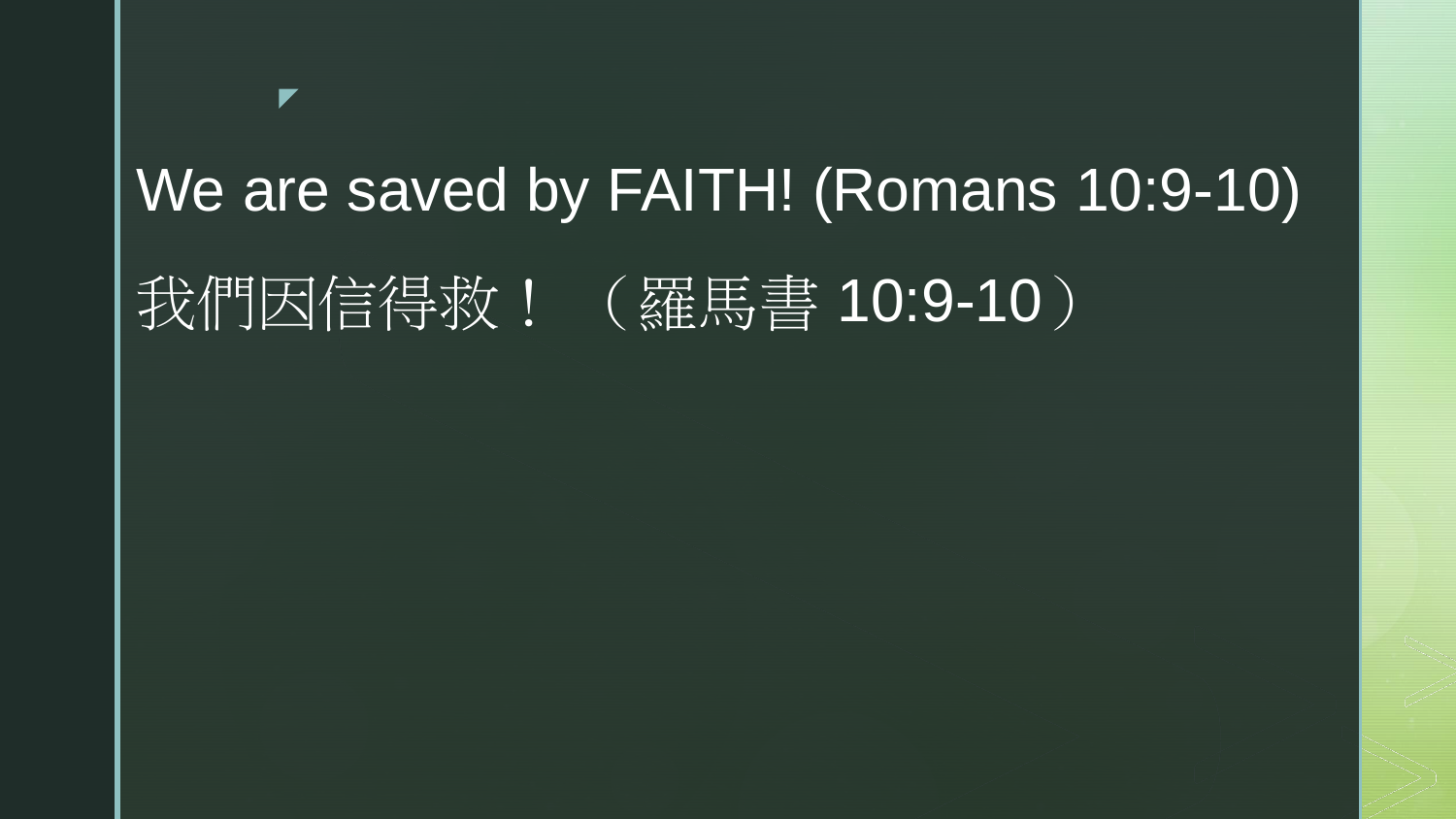# We are saved by FAITH! (Romans 10:9-10) 我們因信得救! (羅馬書 10:9-10)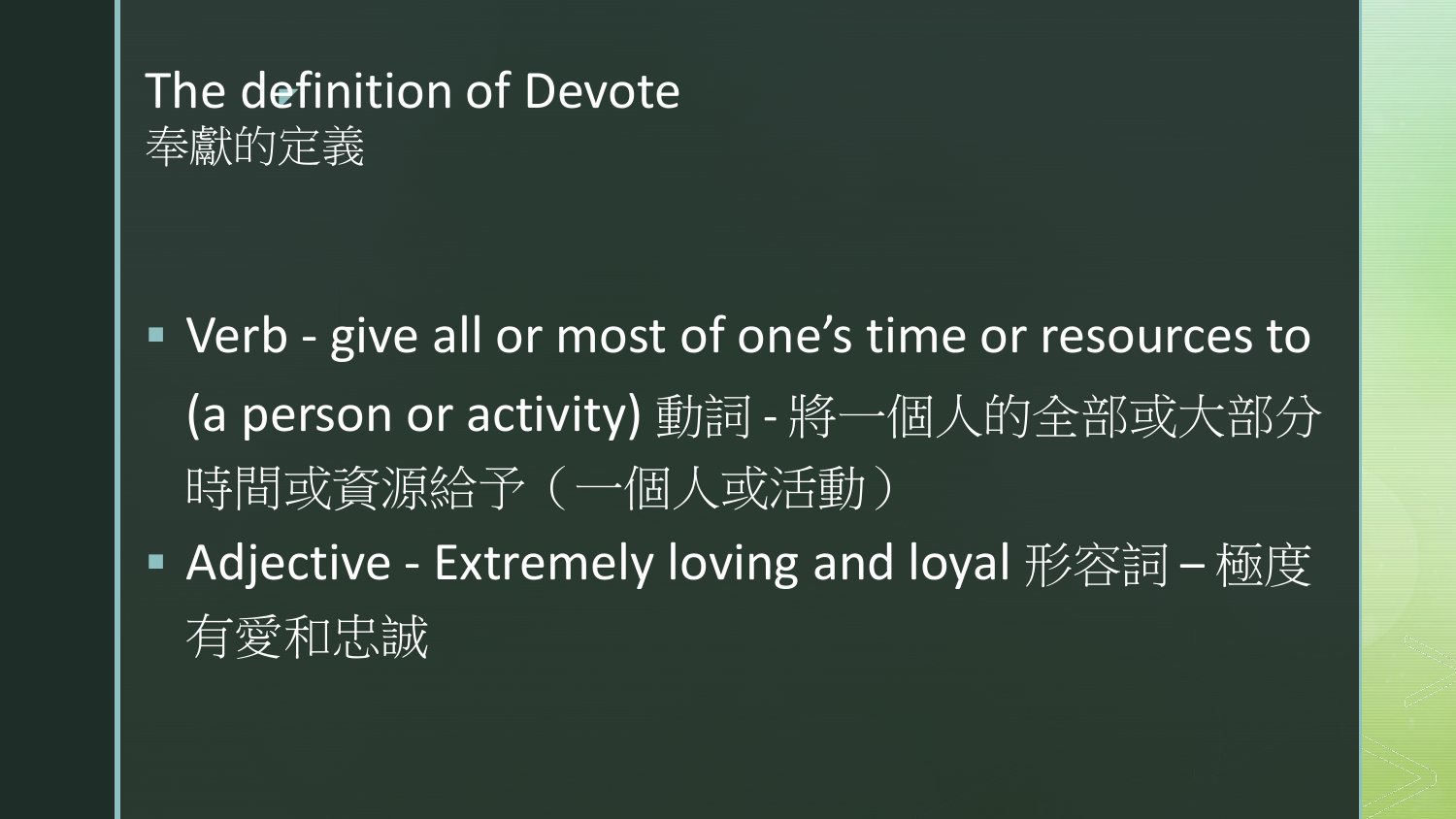#### The definition of Devote



 Verb - give all or most of one's time or resources to (a person or activity) 動詞 - 將一個人的全部或大部分 時間或資源給予(一個人或活動)

■ Adjective - Extremely loving and loyal 形容詞 – 極度 有愛和忠誠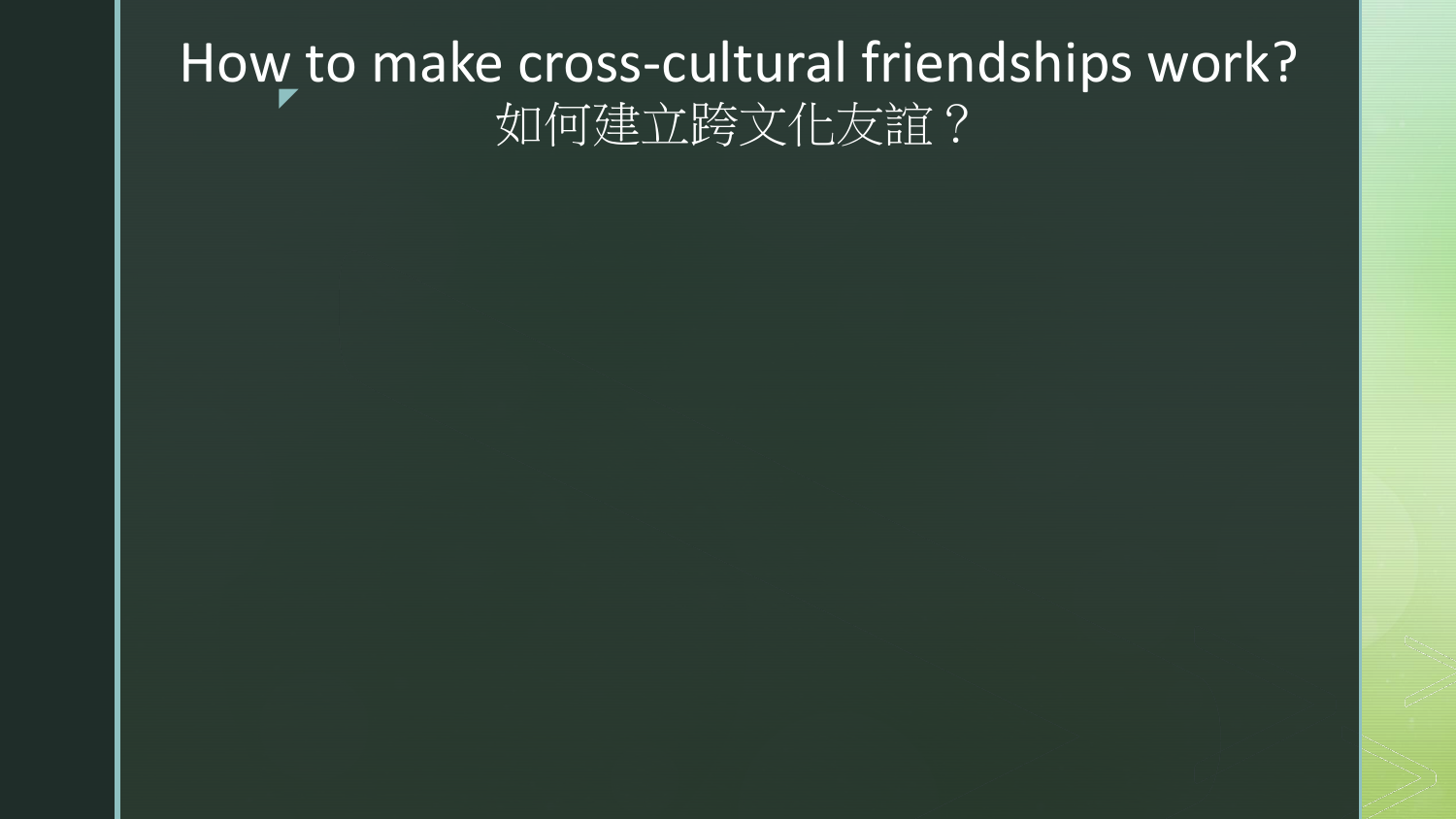#### z How to make cross-cultural friendships work? 如何建立跨文化友誼?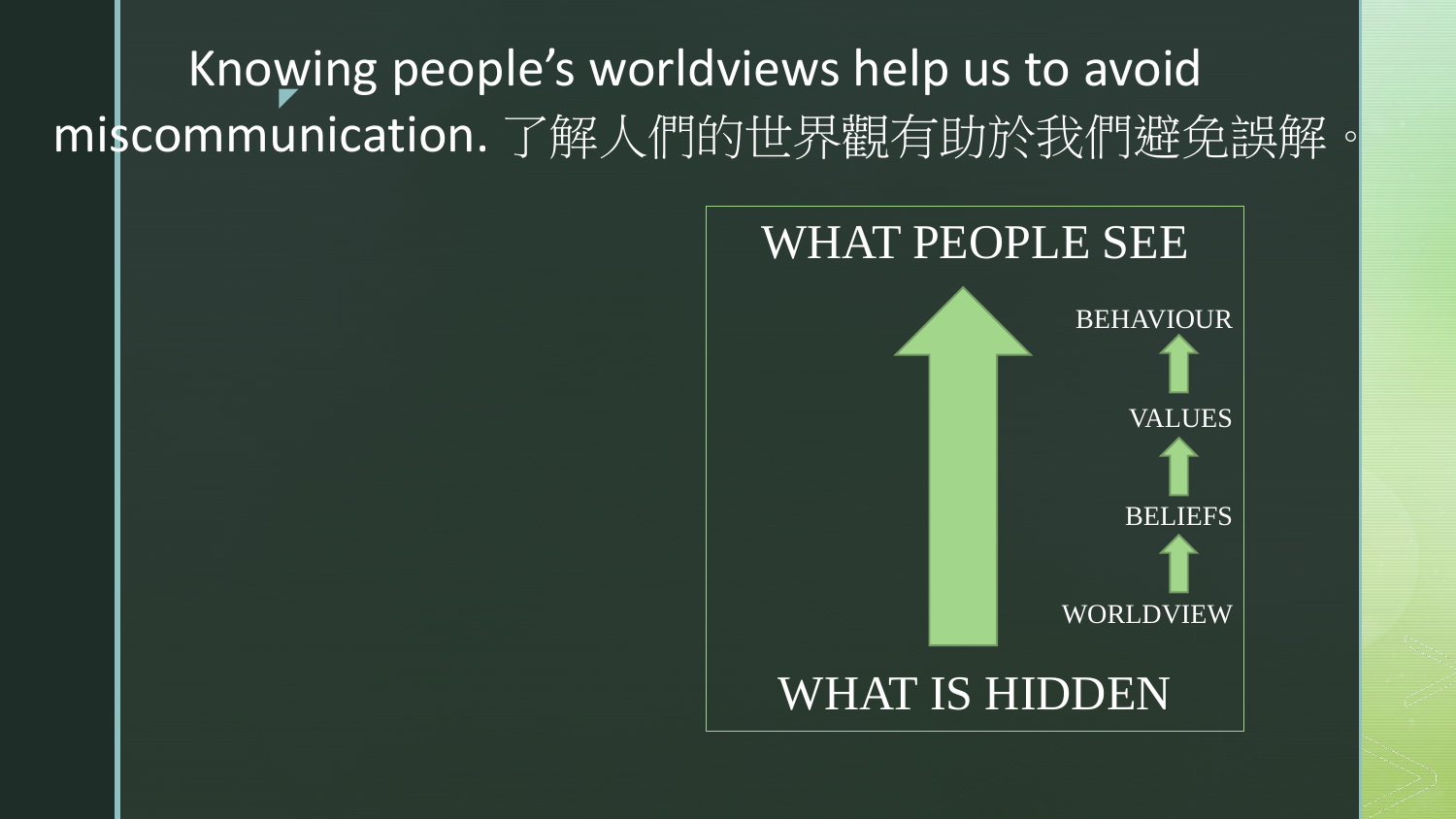**V** Knowing people's worldviews help us to avoid miscommunication. 了解人們的世界觀有助於我們避免誤解。

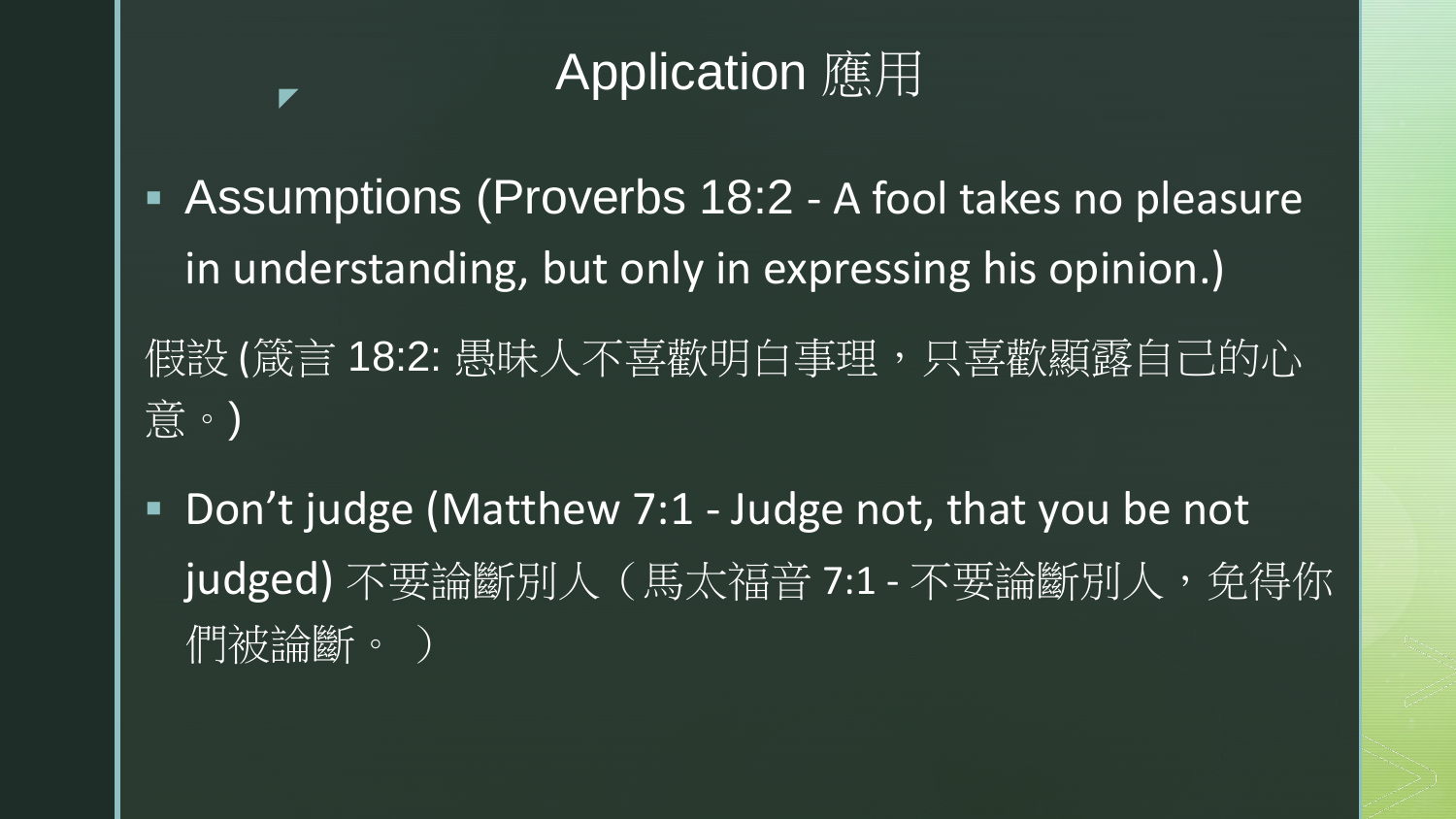### Application 應用

- Assumptions (Proverbs 18:2 A fool takes no pleasure in understanding, but only in expressing his opinion.)
- 假設 (箴言 18:2: 愚昧人不喜歡明白事理,只喜歡顯露自己的心 意。)
- Don't judge (Matthew 7:1 Judge not, that you be not judged) 不要論斷別人 (馬太福音 7:1 - 不要論斷別人, 免得你 們被論斷。 )